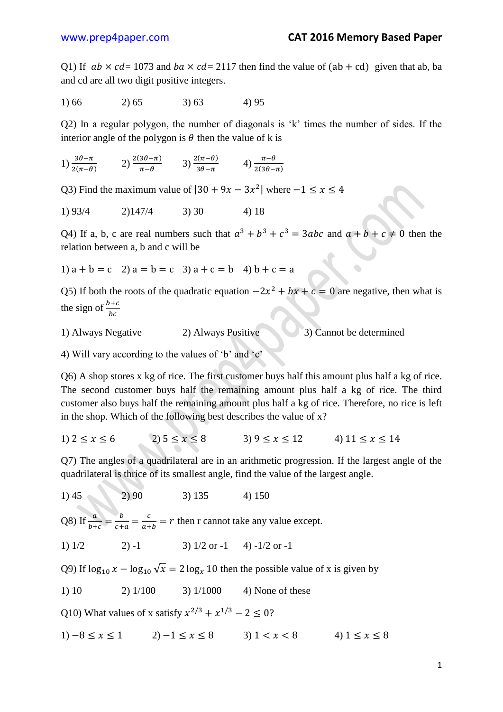Q1) If  $ab \times cd = 1073$  and  $ba \times cd = 2117$  then find the value of  $(ab + cd)$  given that ab, ba and cd are all two digit positive integers.

$$
1) 66 \t\t 2) 65 \t\t 3) 63 \t\t 4) 95
$$

Q2) In a regular polygon, the number of diagonals is 'k' times the number of sides. If the interior angle of the polygon is  $\theta$  then the value of k is

1)  $\frac{3\theta-\pi}{2(\pi-\theta)}$  2)  $\frac{2(3\theta-\pi)}{\pi-\theta}$  3)  $\frac{2(\pi-\theta)}{3\theta-\pi}$  4)  $\frac{\pi}{2(3)}$ 

Q3) Find the maximum value of  $|30 + 9x - 3x^2|$  where

1)  $93/4$  2)  $147/4$  3) 30 4) 18

Q4) If a, b, c are real numbers such that  $a^3 + b^3 + c^3 = 3abc$  and  $a + b + c \neq 0$  then the relation between a, b and c will be

1) 
$$
a + b = c
$$
 2)  $a = b = c$  3)  $a + c = b$  4)  $b + c = a$ 

Q5) If both the roots of the quadratic equation  $-2x^2 + bx + c = 0$  are negative, then what is the sign of  $\frac{b}{b}$ 

1) Always Negative 2) Always Positive 3) Cannot be determined

4) Will vary according to the values of 'b' and 'c'

Q6) A shop stores x kg of rice. The first customer buys half this amount plus half a kg of rice. The second customer buys half the remaining amount plus half a kg of rice. The third customer also buys half the remaining amount plus half a kg of rice. Therefore, no rice is left in the shop. Which of the following best describes the value of  $x$ ?

1)  $2 \le x \le 6$  2)  $5 \le x \le 8$  3)  $9 \le x \le 12$  4)  $11 \le x \le 14$ 

Q7) The angles of a quadrilateral are in an arithmetic progression. If the largest angle of the quadrilateral is thrice of its smallest angle, find the value of the largest angle.

$$
1) 45 \qquad \qquad 2) 90 \qquad \qquad 3) 135 \qquad \qquad 4) 150
$$

Q8) If  $\frac{a}{b+c} = \frac{b}{c+c}$  $\frac{b}{c+a} = \frac{c}{a+}$  $\frac{c}{a+b} = r$  then r cannot take any value except.

1)  $1/2$  2) -1 3)  $1/2$  or -1 4) -1/2 or -1

Q9) If  $\log_{10} x - \log_{10} \sqrt{x} = 2 \log_{10} 10$  then the possible value of x is given by

1) 10 2) 1/100 3) 1/1000 4) None of these

Q10) What values of x satisfy  $x^{2/3} + x^{1/3} - 2 \le 0$ ?

1)  $-8 < x < 1$  2)  $-1 < x < 8$  3)  $1 < x < 8$  4)  $1 < x < 8$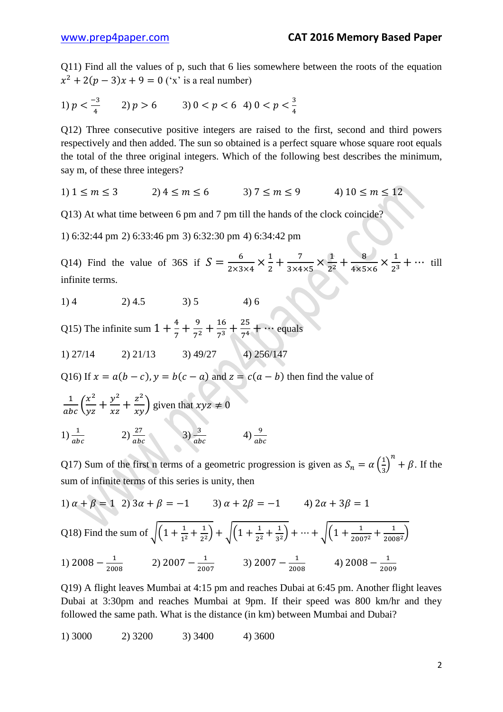Q11) Find all the values of p, such that 6 lies somewhere between the roots of the equation  $x^2 + 2(p-3)x + 9 = 0$  ('x' is a real number)

1) 
$$
p < \frac{-3}{4}
$$
 2)  $p > 6$  3)  $0 < p < 6$  4)  $0 < p < \frac{3}{4}$ 

Q12) Three consecutive positive integers are raised to the first, second and third powers respectively and then added. The sun so obtained is a perfect square whose square root equals the total of the three original integers. Which of the following best describes the minimum, say m, of these three integers?

$$
1) 1 \le m \le 3 \qquad 2) 4 \le m \le 6 \qquad 3) 7 \le m \le 9 \qquad 4) 10 \le m \le 12
$$

Q13) At what time between 6 pm and 7 pm till the hands of the clock coincide?

1) 6:32:44 pm 2) 6:33:46 pm 3) 6:32:30 pm 4) 6:34:42 pm

Q14) Find the value of 36S if  $S = \frac{6}{300}$  $\frac{6}{2 \times 3 \times 4} \times \frac{1}{2}$  $\frac{1}{2} + \frac{7}{3 \times 4}$  $\frac{7}{3\times4\times5}\times\frac{1}{2^2}$  $2^2$ 8  $\frac{8}{4\times5\times6}\times\frac{1}{2^3}$  $\frac{1}{2^3} + \cdots$  till infinite terms.

$$
1) 4 \t 2) 4.5 \t 3) 5 \t 4) 6
$$

Q15) The infinite sum  $1 + \frac{4}{7}$  $\frac{4}{7} + \frac{9}{7^2}$  $7^2$  $\mathbf{1}$  $7<sup>3</sup>$  $\overline{\mathbf{c}}$  $\frac{25}{7^4}$  + ... equals

$$
1) 27/14 \qquad 2) 21/13 \qquad 3) 49/27 \qquad 4) 256/147
$$

Q16) If  $x = a(b - c)$ ,  $y = b(c - a)$  and  $z = c(a - b)$  then find the value of

$$
\frac{1}{abc} \left( \frac{x^2}{yz} + \frac{y^2}{xz} + \frac{z^2}{xy} \right)
$$
 given that  $xyz \neq 0$   
1) 
$$
\frac{1}{abc} \qquad 2) \frac{27}{abc} \qquad 3) \frac{3}{abc} \qquad 4) \frac{9}{ab}
$$

Q17) Sum of the first n terms of a geometric progression is given as  $S_n = \alpha \left( \frac{1}{2} \right)$  $\left(\frac{1}{3}\right)^n + \beta$ . If the sum of infinite terms of this series is unity, then

1)  $\alpha + \beta = 1$  2)  $3\alpha + \beta = -1$  3)  $\alpha + 2\beta = -1$  4)  $2\alpha + 3\beta = 1$ Q18) Find the sum of  $\left| \left( 1 + \frac{1}{\sqrt{2}} \right) \right|$  $1<sup>2</sup>$  $\mathbf{1}$  $\frac{1}{2^2}$  +  $\sqrt{(1+\frac{1}{2^2})}$  $2^2$  $\mathbf{1}$  $\frac{1}{3^2}$  + ... +  $\sqrt{(1+\frac{1}{200})}$  $\overline{\mathbf{c}}$  $\mathbf{1}$  $\frac{1}{2008^2}$ 

1)  $2008 - \frac{1}{209}$  $\frac{1}{2008}$  2) 2007 -  $\frac{1}{200}$  $\frac{1}{2007}$  3) 2007 -  $\frac{1}{200}$  $\frac{1}{2008}$  4) 2008  $-\frac{1}{200}$  $\overline{\mathbf{c}}$ 

Q19) A flight leaves Mumbai at 4:15 pm and reaches Dubai at 6:45 pm. Another flight leaves Dubai at 3:30pm and reaches Mumbai at 9pm. If their speed was 800 km/hr and they followed the same path. What is the distance (in km) between Mumbai and Dubai?

1) 3000 2) 3200 3) 3400 4) 3600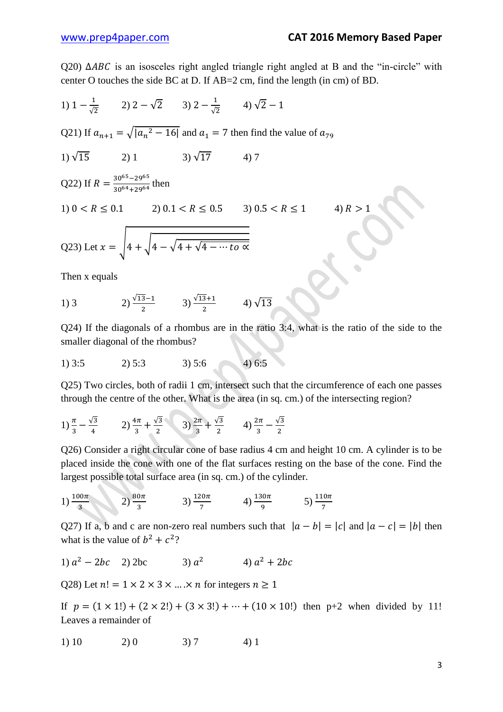$Q20$ )  $\triangle ABC$  is an isosceles right angled triangle right angled at B and the "in-circle" with center O touches the side BC at D. If AB=2 cm, find the length (in cm) of BD.

1) 
$$
1 - \frac{1}{\sqrt{2}}
$$
 2)  $2 - \sqrt{2}$  3)  $2 - \frac{1}{\sqrt{2}}$  4)  $\sqrt{2} - 1$ 

Q21) If  $a_{n+1} = \sqrt{a_n^2 - 16}$  and  $a_1 = 7$  then find the value of

$$
1) \sqrt{15} \qquad \qquad 2) \ 1 \qquad \qquad 3) \sqrt{17} \qquad \qquad 4) \ 7
$$

Q22) If 
$$
R = \frac{30^{65} - 29^{65}}{30^{64} + 29^{64}}
$$
 then

$$
1) 0 < R \le 0.1 \qquad \qquad 2) 0.1 < R \le 0.5 \qquad \qquad 3) 0.5 < R \le 1 \qquad \qquad 4) R
$$

Q23) Let 
$$
x = \sqrt{4 + \sqrt{4 - \sqrt{4 + \sqrt{4 - \cdots to \alpha}}}}
$$

Then x equals

1) 3   
2) 
$$
\frac{\sqrt{13}-1}{2}
$$
 3)  $\frac{\sqrt{13}+1}{2}$  4)  $\sqrt{13}$ 

Q24) If the diagonals of a rhombus are in the ratio 3:4, what is the ratio of the side to the smaller diagonal of the rhombus?

1) 3:5 2) 5:3 3) 5:6 4) 6:5

Q25) Two circles, both of radii 1 cm, intersect such that the circumference of each one passes through the centre of the other. What is the area (in sq. cm.) of the intersecting region?

$$
1\frac{\pi}{3} - \frac{\sqrt{3}}{4} \qquad 2\frac{4\pi}{3} + \frac{\sqrt{3}}{2} \qquad 3\frac{2\pi}{3} + \frac{\sqrt{3}}{2} \qquad 4\frac{2\pi}{3} - \frac{\sqrt{3}}{2}
$$

Q26) Consider a right circular cone of base radius 4 cm and height 10 cm. A cylinder is to be placed inside the cone with one of the flat surfaces resting on the base of the cone. Find the largest possible total surface area (in sq. cm.) of the cylinder.

1) 
$$
\frac{100\pi}{3}
$$
 2)  $\frac{80\pi}{3}$  3)  $\frac{120\pi}{7}$  4)  $\frac{130\pi}{9}$  5)  $\frac{110\pi}{7}$ 

Q27) If a, b and c are non-zero real numbers such that  $|a - b| = |c|$  and  $|a - c| = |b|$  then what is the value of  $b^2 + c^2$ ?

1) 
$$
a^2 - 2bc
$$
 2)  $2bc$  3)  $a^2$  4)  $a^2 + 2bc$ 

Q28) Let  $n! = 1 \times 2 \times 3 \times ... \times n$  for integers  $n \ge 1$ 

If  $p = (1 \times 1!) + (2 \times 2!) + (3 \times 3!) + \dots + (10 \times 10!)$  then p+2 when divided by 11! Leaves a remainder of

1) 10 2) 0 3) 7 4) 1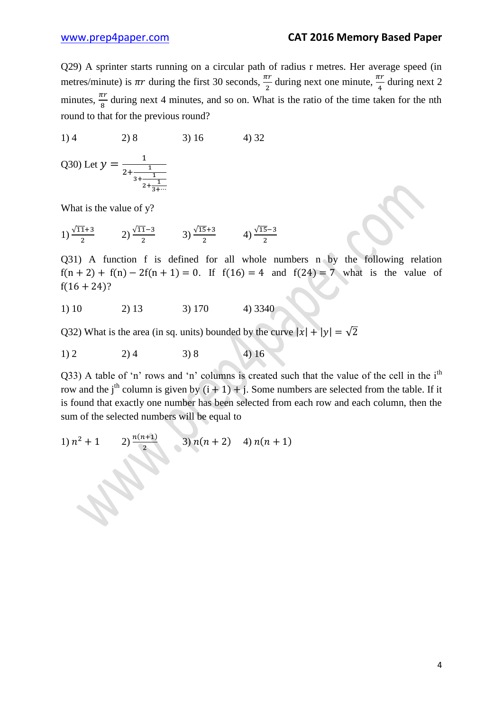Q29) A sprinter starts running on a circular path of radius r metres. Her average speed (in metres/minute) is  $\pi r$  during the first 30 seconds,  $\frac{dr}{2}$  during next one minute,  $\frac{dr}{4}$  during next 2 minutes,  $\frac{h}{8}$  during next 4 minutes, and so on. What is the ratio of the time taken for the nth round to that for the previous round?

$$
1) 4 \t\t 2) 8 \t\t 3) 16 \t\t 4) 32
$$

Q30) Let 
$$
y = \frac{1}{2 + \frac{1}{3 + \frac{1}{2 + \frac{1}{3 + \dotsb}}}}}
$$

What is the value of y?

1) 
$$
\frac{\sqrt{11}+3}{2}
$$
 2)  $\frac{\sqrt{11}-3}{2}$  3)  $\frac{\sqrt{15}+3}{2}$  4)  $\frac{\sqrt{15}-3}{2}$ 

Q31) A function f is defined for all whole numbers n by the following relation  $f(n + 2) + f(n) - 2f(n + 1) = 0$ . If  $f(16) = 4$  and  $f(24) = 7$  what is the value of  $f(16+24)?$ 

1) 10 2) 13 3) 170 4) 3340

Q32) What is the area (in sq. units) bounded by the curve  $|x| + |y| = \sqrt{2}$ 

$$
1) 2 \t\t\t 2) 4 \t\t\t 3) 8 \t\t\t 4) 16
$$

Q33) A table of 'n' rows and 'n' columns is created such that the value of the cell in the i<sup>th</sup> row and the j<sup>th</sup> column is given by  $(i + 1) + j$ . Some numbers are selected from the table. If it is found that exactly one number has been selected from each row and each column, then the sum of the selected numbers will be equal to

1) 
$$
n^2 + 1
$$
 2)  $\frac{n(n+1)}{2}$  3)  $n(n+2)$  4)  $n(n+1)$